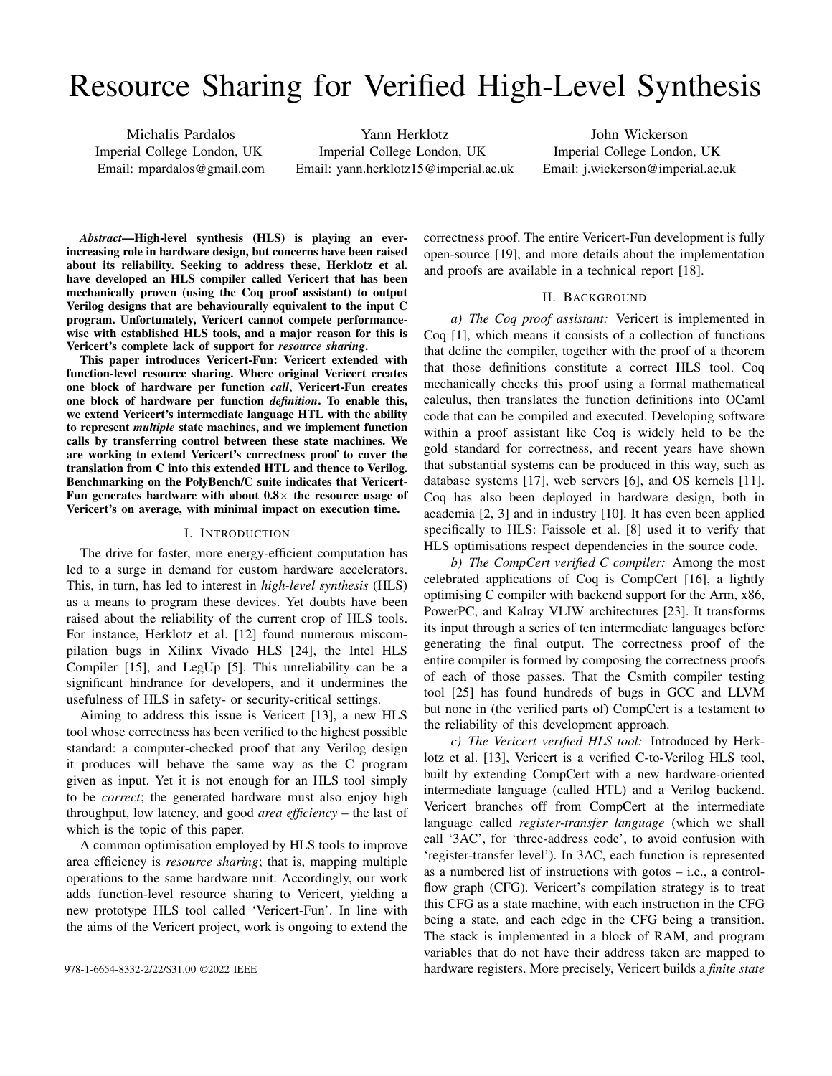# Resource Sharing for Verified High-Level Synthesis

Michalis Pardalos Imperial College London, UK Email: mpardalos@gmail.com

Yann Herklotz Imperial College London, UK Email: yann.herklotz15@imperial.ac.uk

John Wickerson Imperial College London, UK Email: j.wickerson@imperial.ac.uk

*Abstract*—High-level synthesis (HLS) is playing an everincreasing role in hardware design, but concerns have been raised about its reliability. Seeking to address these, Herklotz et al. have developed an HLS compiler called Vericert that has been mechanically proven (using the Coq proof assistant) to output Verilog designs that are behaviourally equivalent to the input C program. Unfortunately, Vericert cannot compete performancewise with established HLS tools, and a major reason for this is Vericert's complete lack of support for *resource sharing*.

This paper introduces Vericert-Fun: Vericert extended with function-level resource sharing. Where original Vericert creates one block of hardware per function *call*, Vericert-Fun creates one block of hardware per function *definition*. To enable this, we extend Vericert's intermediate language HTL with the ability to represent *multiple* state machines, and we implement function calls by transferring control between these state machines. We are working to extend Vericert's correctness proof to cover the translation from C into this extended HTL and thence to Verilog. Benchmarking on the PolyBench/C suite indicates that Vericert-Fun generates hardware with about  $0.8\times$  the resource usage of Vericert's on average, with minimal impact on execution time.

#### I. INTRODUCTION

The drive for faster, more energy-efficient computation has led to a surge in demand for custom hardware accelerators. This, in turn, has led to interest in *high-level synthesis* (HLS) as a means to program these devices. Yet doubts have been raised about the reliability of the current crop of HLS tools. For instance, Herklotz et al. [12] found numerous miscompilation bugs in Xilinx Vivado HLS [24], the Intel HLS Compiler [15], and LegUp [5]. This unreliability can be a significant hindrance for developers, and it undermines the usefulness of HLS in safety- or security-critical settings.

Aiming to address this issue is Vericert [13], a new HLS tool whose correctness has been verified to the highest possible standard: a computer-checked proof that any Verilog design it produces will behave the same way as the C program given as input. Yet it is not enough for an HLS tool simply to be *correct*; the generated hardware must also enjoy high throughput, low latency, and good *area efficiency* – the last of which is the topic of this paper.

A common optimisation employed by HLS tools to improve area efficiency is *resource sharing*; that is, mapping multiple operations to the same hardware unit. Accordingly, our work adds function-level resource sharing to Vericert, yielding a new prototype HLS tool called 'Vericert-Fun'. In line with the aims of the Vericert project, work is ongoing to extend the correctness proof. The entire Vericert-Fun development is fully open-source [19], and more details about the implementation and proofs are available in a technical report [18].

## II. BACKGROUND

*a) The Coq proof assistant:* Vericert is implemented in Coq [1], which means it consists of a collection of functions that define the compiler, together with the proof of a theorem that those definitions constitute a correct HLS tool. Coq mechanically checks this proof using a formal mathematical calculus, then translates the function definitions into OCaml code that can be compiled and executed. Developing software within a proof assistant like Coq is widely held to be the gold standard for correctness, and recent years have shown that substantial systems can be produced in this way, such as database systems [17], web servers [6], and OS kernels [11]. Coq has also been deployed in hardware design, both in academia [2, 3] and in industry [10]. It has even been applied specifically to HLS: Faissole et al. [8] used it to verify that HLS optimisations respect dependencies in the source code.

*b) The CompCert verified C compiler:* Among the most celebrated applications of Coq is CompCert [16], a lightly optimising C compiler with backend support for the Arm, x86, PowerPC, and Kalray VLIW architectures [23]. It transforms its input through a series of ten intermediate languages before generating the final output. The correctness proof of the entire compiler is formed by composing the correctness proofs of each of those passes. That the Csmith compiler testing tool [25] has found hundreds of bugs in GCC and LLVM but none in (the verified parts of) CompCert is a testament to the reliability of this development approach.

*c) The Vericert verified HLS tool:* Introduced by Herklotz et al. [13], Vericert is a verified C-to-Verilog HLS tool, built by extending CompCert with a new hardware-oriented intermediate language (called HTL) and a Verilog backend. Vericert branches off from CompCert at the intermediate language called *register-transfer language* (which we shall call '3AC', for 'three-address code', to avoid confusion with 'register-transfer level'). In 3AC, each function is represented as a numbered list of instructions with gotos – i.e., a controlflow graph (CFG). Vericert's compilation strategy is to treat this CFG as a state machine, with each instruction in the CFG being a state, and each edge in the CFG being a transition. The stack is implemented in a block of RAM, and program variables that do not have their address taken are mapped to 978-1-6654-8332-2/22/\$31.00 ©2022 IEEE hardware registers. More precisely, Vericert builds a *finite state*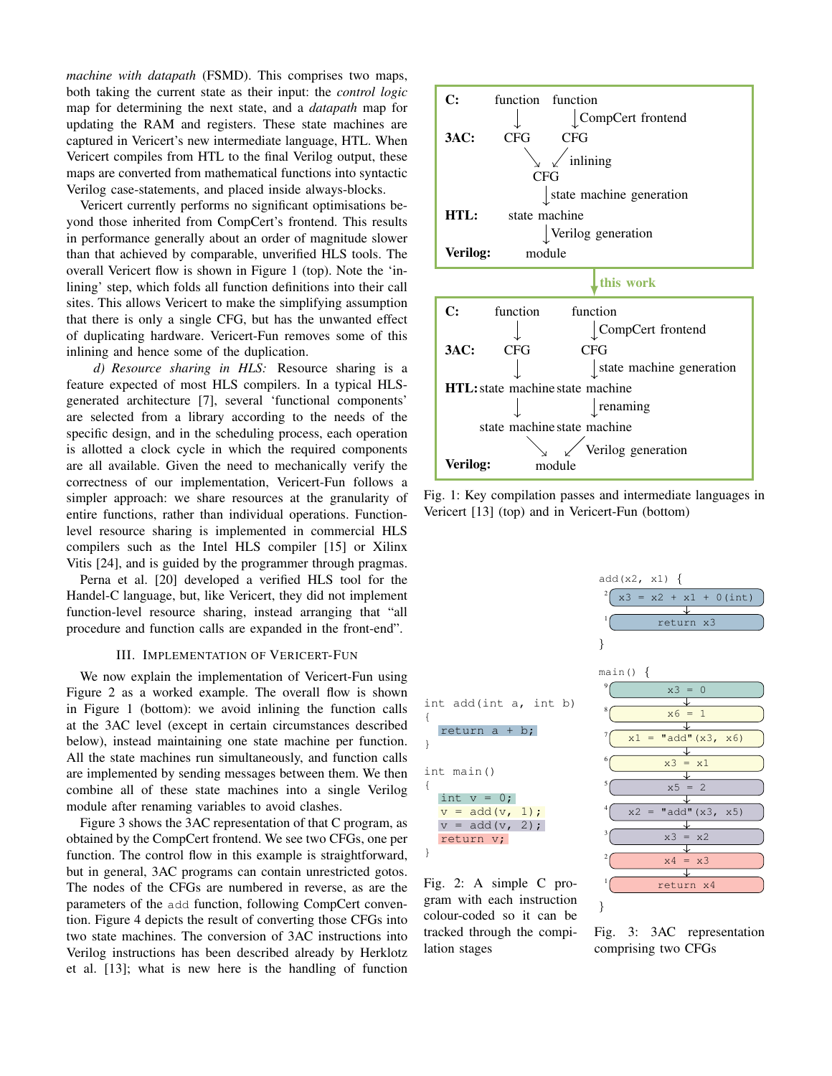*machine with datapath* (FSMD). This comprises two maps, both taking the current state as their input: the *control logic* map for determining the next state, and a *datapath* map for updating the RAM and registers. These state machines are captured in Vericert's new intermediate language, HTL. When Vericert compiles from HTL to the final Verilog output, these maps are converted from mathematical functions into syntactic Verilog case-statements, and placed inside always-blocks.

Vericert currently performs no significant optimisations beyond those inherited from CompCert's frontend. This results in performance generally about an order of magnitude slower than that achieved by comparable, unverified HLS tools. The overall Vericert flow is shown in Figure 1 (top). Note the 'inlining' step, which folds all function definitions into their call sites. This allows Vericert to make the simplifying assumption that there is only a single CFG, but has the unwanted effect of duplicating hardware. Vericert-Fun removes some of this inlining and hence some of the duplication.

*d) Resource sharing in HLS:* Resource sharing is a feature expected of most HLS compilers. In a typical HLSgenerated architecture [7], several 'functional components' are selected from a library according to the needs of the specific design, and in the scheduling process, each operation is allotted a clock cycle in which the required components are all available. Given the need to mechanically verify the correctness of our implementation, Vericert-Fun follows a simpler approach: we share resources at the granularity of entire functions, rather than individual operations. Functionlevel resource sharing is implemented in commercial HLS compilers such as the Intel HLS compiler [15] or Xilinx Vitis [24], and is guided by the programmer through pragmas.

Perna et al. [20] developed a verified HLS tool for the Handel-C language, but, like Vericert, they did not implement function-level resource sharing, instead arranging that "all procedure and function calls are expanded in the front-end".

## III. IMPLEMENTATION OF VERICERT-FUN

We now explain the implementation of Vericert-Fun using Figure 2 as a worked example. The overall flow is shown in Figure 1 (bottom): we avoid inlining the function calls at the 3AC level (except in certain circumstances described below), instead maintaining one state machine per function. All the state machines run simultaneously, and function calls are implemented by sending messages between them. We then combine all of these state machines into a single Verilog module after renaming variables to avoid clashes.

Figure 3 shows the 3AC representation of that C program, as obtained by the CompCert frontend. We see two CFGs, one per function. The control flow in this example is straightforward, but in general, 3AC programs can contain unrestricted gotos. The nodes of the CFGs are numbered in reverse, as are the parameters of the add function, following CompCert convention. Figure 4 depicts the result of converting those CFGs into two state machines. The conversion of 3AC instructions into Verilog instructions has been described already by Herklotz et al. [13]; what is new here is the handling of function



Fig. 1: Key compilation passes and intermediate languages in Vericert [13] (top) and in Vericert-Fun (bottom)

int add(int a, int b) { return a + b; } int main() { int  $v = 0;$  $v = add(v, 1);$  $v = add(v, 2);$ return v; }

Fig. 2: A simple C program with each instruction colour-coded so it can be tracked through the compilation stages



Fig. 3: 3AC representation comprising two CFGs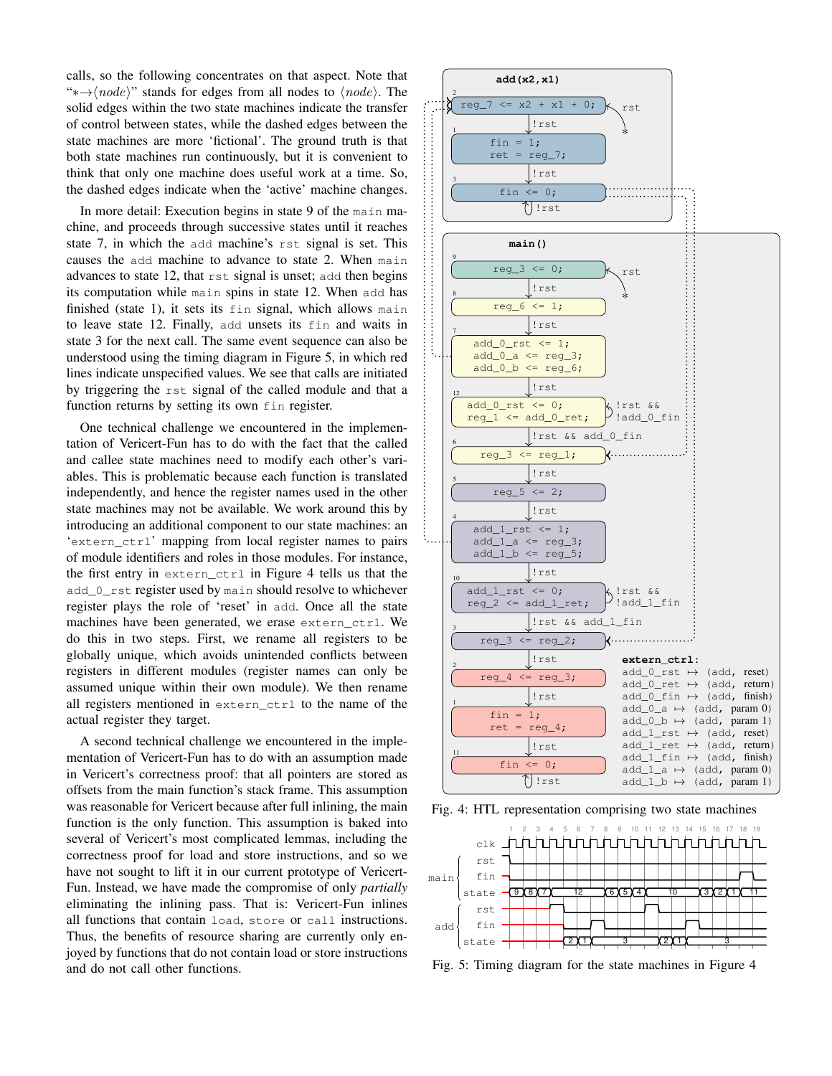calls, so the following concentrates on that aspect. Note that "\* $\rightarrow \langle node \rangle$ " stands for edges from all nodes to  $\langle node \rangle$ . The solid edges within the two state machines indicate the transfer of control between states, while the dashed edges between the state machines are more 'fictional'. The ground truth is that both state machines run continuously, but it is convenient to think that only one machine does useful work at a time. So, the dashed edges indicate when the 'active' machine changes.

In more detail: Execution begins in state 9 of the main machine, and proceeds through successive states until it reaches state 7, in which the add machine's rst signal is set. This causes the add machine to advance to state 2. When main advances to state 12, that rst signal is unset; add then begins its computation while main spins in state 12. When add has finished (state 1), it sets its fin signal, which allows main to leave state 12. Finally, add unsets its fin and waits in state 3 for the next call. The same event sequence can also be understood using the timing diagram in Figure 5, in which red lines indicate unspecified values. We see that calls are initiated by triggering the rst signal of the called module and that a function returns by setting its own fin register.

One technical challenge we encountered in the implementation of Vericert-Fun has to do with the fact that the called and callee state machines need to modify each other's variables. This is problematic because each function is translated independently, and hence the register names used in the other state machines may not be available. We work around this by introducing an additional component to our state machines: an 'extern\_ctrl' mapping from local register names to pairs of module identifiers and roles in those modules. For instance, the first entry in extern\_ctrl in Figure 4 tells us that the add\_0\_rst register used by main should resolve to whichever register plays the role of 'reset' in add. Once all the state machines have been generated, we erase extern\_ctrl. We do this in two steps. First, we rename all registers to be globally unique, which avoids unintended conflicts between registers in different modules (register names can only be assumed unique within their own module). We then rename all registers mentioned in extern\_ctrl to the name of the actual register they target.

A second technical challenge we encountered in the implementation of Vericert-Fun has to do with an assumption made in Vericert's correctness proof: that all pointers are stored as offsets from the main function's stack frame. This assumption was reasonable for Vericert because after full inlining, the main function is the only function. This assumption is baked into several of Vericert's most complicated lemmas, including the correctness proof for load and store instructions, and so we have not sought to lift it in our current prototype of Vericert-Fun. Instead, we have made the compromise of only *partially* eliminating the inlining pass. That is: Vericert-Fun inlines all functions that contain load, store or call instructions. Thus, the benefits of resource sharing are currently only enjoyed by functions that do not contain load or store instructions and do not call other functions.



Fig. 4: HTL representation comprising two state machines



Fig. 5: Timing diagram for the state machines in Figure 4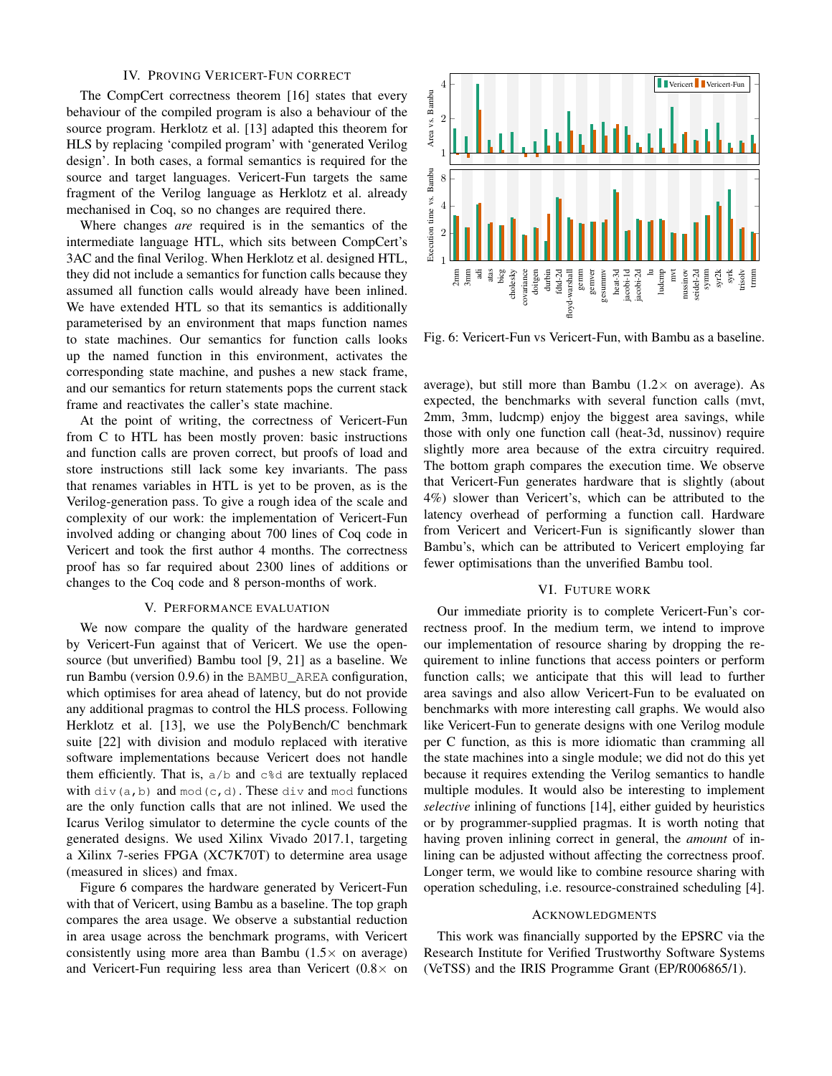# IV. PROVING VERICERT-FUN CORRECT

The CompCert correctness theorem [16] states that every behaviour of the compiled program is also a behaviour of the source program. Herklotz et al. [13] adapted this theorem for HLS by replacing 'compiled program' with 'generated Verilog design'. In both cases, a formal semantics is required for the source and target languages. Vericert-Fun targets the same fragment of the Verilog language as Herklotz et al. already mechanised in Coq, so no changes are required there.

Where changes *are* required is in the semantics of the intermediate language HTL, which sits between CompCert's 3AC and the final Verilog. When Herklotz et al. designed HTL, they did not include a semantics for function calls because they assumed all function calls would already have been inlined. We have extended HTL so that its semantics is additionally parameterised by an environment that maps function names to state machines. Our semantics for function calls looks up the named function in this environment, activates the corresponding state machine, and pushes a new stack frame, and our semantics for return statements pops the current stack frame and reactivates the caller's state machine.

At the point of writing, the correctness of Vericert-Fun from C to HTL has been mostly proven: basic instructions and function calls are proven correct, but proofs of load and store instructions still lack some key invariants. The pass that renames variables in HTL is yet to be proven, as is the Verilog-generation pass. To give a rough idea of the scale and complexity of our work: the implementation of Vericert-Fun involved adding or changing about 700 lines of Coq code in Vericert and took the first author 4 months. The correctness proof has so far required about 2300 lines of additions or changes to the Coq code and 8 person-months of work.

#### V. PERFORMANCE EVALUATION

We now compare the quality of the hardware generated by Vericert-Fun against that of Vericert. We use the opensource (but unverified) Bambu tool [9, 21] as a baseline. We run Bambu (version 0.9.6) in the BAMBU\_AREA configuration, which optimises for area ahead of latency, but do not provide any additional pragmas to control the HLS process. Following Herklotz et al. [13], we use the PolyBench/C benchmark suite [22] with division and modulo replaced with iterative software implementations because Vericert does not handle them efficiently. That is,  $a/b$  and  $c/d$  are textually replaced with div(a,b) and  $mod(c, d)$ . These div and mod functions are the only function calls that are not inlined. We used the Icarus Verilog simulator to determine the cycle counts of the generated designs. We used Xilinx Vivado 2017.1, targeting a Xilinx 7-series FPGA (XC7K70T) to determine area usage (measured in slices) and fmax.

Figure 6 compares the hardware generated by Vericert-Fun with that of Vericert, using Bambu as a baseline. The top graph compares the area usage. We observe a substantial reduction in area usage across the benchmark programs, with Vericert consistently using more area than Bambu  $(1.5 \times$  on average) and Vericert-Fun requiring less area than Vericert  $(0.8 \times$  on



Fig. 6: Vericert-Fun vs Vericert-Fun, with Bambu as a baseline.

average), but still more than Bambu  $(1.2 \times$  on average). As expected, the benchmarks with several function calls (mvt, 2mm, 3mm, ludcmp) enjoy the biggest area savings, while those with only one function call (heat-3d, nussinov) require slightly more area because of the extra circuitry required. The bottom graph compares the execution time. We observe that Vericert-Fun generates hardware that is slightly (about 4%) slower than Vericert's, which can be attributed to the latency overhead of performing a function call. Hardware from Vericert and Vericert-Fun is significantly slower than Bambu's, which can be attributed to Vericert employing far fewer optimisations than the unverified Bambu tool.

## VI. FUTURE WORK

Our immediate priority is to complete Vericert-Fun's correctness proof. In the medium term, we intend to improve our implementation of resource sharing by dropping the requirement to inline functions that access pointers or perform function calls; we anticipate that this will lead to further area savings and also allow Vericert-Fun to be evaluated on benchmarks with more interesting call graphs. We would also like Vericert-Fun to generate designs with one Verilog module per C function, as this is more idiomatic than cramming all the state machines into a single module; we did not do this yet because it requires extending the Verilog semantics to handle multiple modules. It would also be interesting to implement *selective* inlining of functions [14], either guided by heuristics or by programmer-supplied pragmas. It is worth noting that having proven inlining correct in general, the *amount* of inlining can be adjusted without affecting the correctness proof. Longer term, we would like to combine resource sharing with operation scheduling, i.e. resource-constrained scheduling [4].

#### ACKNOWLEDGMENTS

This work was financially supported by the EPSRC via the Research Institute for Verified Trustworthy Software Systems (VeTSS) and the IRIS Programme Grant (EP/R006865/1).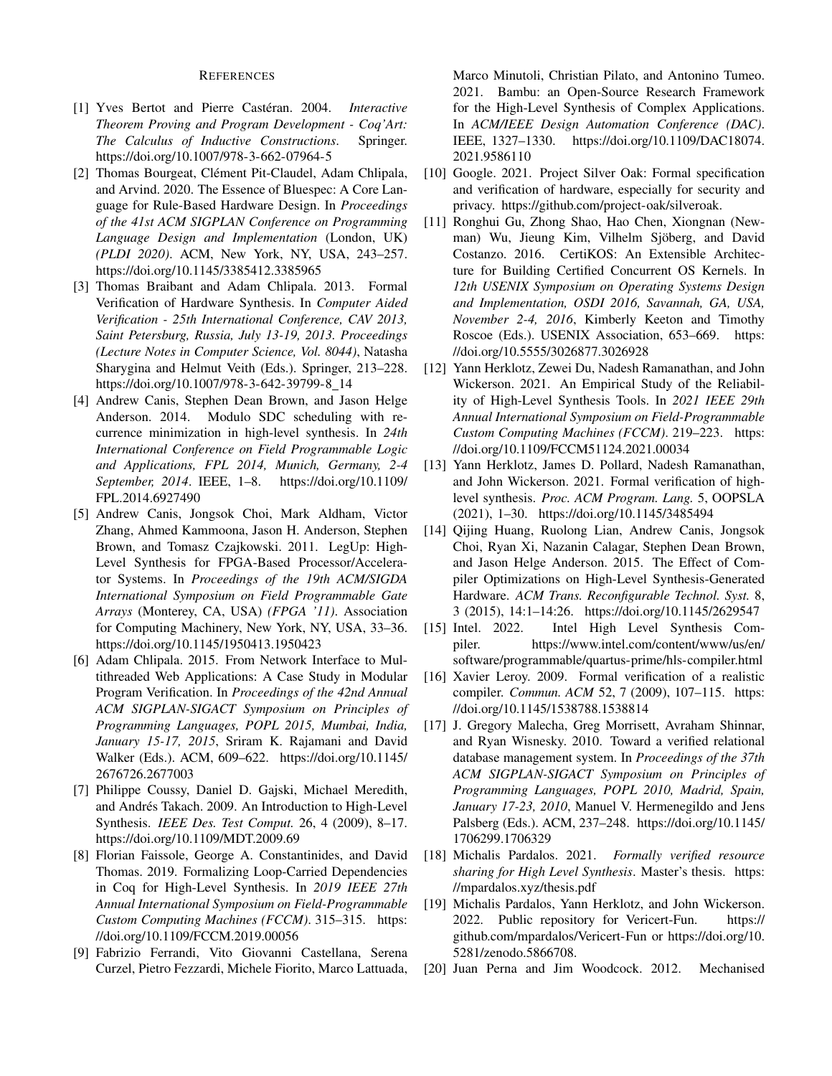# **REFERENCES**

- [1] Yves Bertot and Pierre Castéran. 2004. *Interactive Theorem Proving and Program Development - Coq'Art: The Calculus of Inductive Constructions*. Springer. https://doi.org/10.1007/978-3-662-07964-5
- [2] Thomas Bourgeat, Clément Pit-Claudel, Adam Chlipala, and Arvind. 2020. The Essence of Bluespec: A Core Language for Rule-Based Hardware Design. In *Proceedings of the 41st ACM SIGPLAN Conference on Programming Language Design and Implementation* (London, UK) *(PLDI 2020)*. ACM, New York, NY, USA, 243–257. https://doi.org/10.1145/3385412.3385965
- [3] Thomas Braibant and Adam Chlipala. 2013. Formal Verification of Hardware Synthesis. In *Computer Aided Verification - 25th International Conference, CAV 2013, Saint Petersburg, Russia, July 13-19, 2013. Proceedings (Lecture Notes in Computer Science, Vol. 8044)*, Natasha Sharygina and Helmut Veith (Eds.). Springer, 213–228. https://doi.org/10.1007/978-3-642-39799-8 14
- [4] Andrew Canis, Stephen Dean Brown, and Jason Helge Anderson. 2014. Modulo SDC scheduling with recurrence minimization in high-level synthesis. In *24th International Conference on Field Programmable Logic and Applications, FPL 2014, Munich, Germany, 2-4 September, 2014*. IEEE, 1–8. https://doi.org/10.1109/ FPL.2014.6927490
- [5] Andrew Canis, Jongsok Choi, Mark Aldham, Victor Zhang, Ahmed Kammoona, Jason H. Anderson, Stephen Brown, and Tomasz Czajkowski. 2011. LegUp: High-Level Synthesis for FPGA-Based Processor/Accelerator Systems. In *Proceedings of the 19th ACM/SIGDA International Symposium on Field Programmable Gate Arrays* (Monterey, CA, USA) *(FPGA '11)*. Association for Computing Machinery, New York, NY, USA, 33–36. https://doi.org/10.1145/1950413.1950423
- [6] Adam Chlipala. 2015. From Network Interface to Multithreaded Web Applications: A Case Study in Modular Program Verification. In *Proceedings of the 42nd Annual ACM SIGPLAN-SIGACT Symposium on Principles of Programming Languages, POPL 2015, Mumbai, India, January 15-17, 2015*, Sriram K. Rajamani and David Walker (Eds.). ACM, 609–622. https://doi.org/10.1145/ 2676726.2677003
- [7] Philippe Coussy, Daniel D. Gajski, Michael Meredith, and Andrés Takach. 2009. An Introduction to High-Level Synthesis. *IEEE Des. Test Comput.* 26, 4 (2009), 8–17. https://doi.org/10.1109/MDT.2009.69
- [8] Florian Faissole, George A. Constantinides, and David Thomas. 2019. Formalizing Loop-Carried Dependencies in Coq for High-Level Synthesis. In *2019 IEEE 27th Annual International Symposium on Field-Programmable Custom Computing Machines (FCCM)*. 315–315. https: //doi.org/10.1109/FCCM.2019.00056
- [9] Fabrizio Ferrandi, Vito Giovanni Castellana, Serena Curzel, Pietro Fezzardi, Michele Fiorito, Marco Lattuada,

Marco Minutoli, Christian Pilato, and Antonino Tumeo. 2021. Bambu: an Open-Source Research Framework for the High-Level Synthesis of Complex Applications. In *ACM/IEEE Design Automation Conference (DAC)*. IEEE, 1327–1330. https://doi.org/10.1109/DAC18074. 2021.9586110

- [10] Google. 2021. Project Silver Oak: Formal specification and verification of hardware, especially for security and privacy. https://github.com/project-oak/silveroak.
- [11] Ronghui Gu, Zhong Shao, Hao Chen, Xiongnan (Newman) Wu, Jieung Kim, Vilhelm Sjöberg, and David Costanzo. 2016. CertiKOS: An Extensible Architecture for Building Certified Concurrent OS Kernels. In *12th USENIX Symposium on Operating Systems Design and Implementation, OSDI 2016, Savannah, GA, USA, November 2-4, 2016*, Kimberly Keeton and Timothy Roscoe (Eds.). USENIX Association, 653–669. https: //doi.org/10.5555/3026877.3026928
- [12] Yann Herklotz, Zewei Du, Nadesh Ramanathan, and John Wickerson. 2021. An Empirical Study of the Reliability of High-Level Synthesis Tools. In *2021 IEEE 29th Annual International Symposium on Field-Programmable Custom Computing Machines (FCCM)*. 219–223. https: //doi.org/10.1109/FCCM51124.2021.00034
- [13] Yann Herklotz, James D. Pollard, Nadesh Ramanathan, and John Wickerson. 2021. Formal verification of highlevel synthesis. *Proc. ACM Program. Lang.* 5, OOPSLA (2021), 1–30. https://doi.org/10.1145/3485494
- [14] Qijing Huang, Ruolong Lian, Andrew Canis, Jongsok Choi, Ryan Xi, Nazanin Calagar, Stephen Dean Brown, and Jason Helge Anderson. 2015. The Effect of Compiler Optimizations on High-Level Synthesis-Generated Hardware. *ACM Trans. Reconfigurable Technol. Syst.* 8, 3 (2015), 14:1–14:26. https://doi.org/10.1145/2629547
- [15] Intel. 2022. Intel High Level Synthesis Compiler. https://www.intel.com/content/www/us/en/ software/programmable/quartus-prime/hls-compiler.html
- [16] Xavier Leroy. 2009. Formal verification of a realistic compiler. *Commun. ACM* 52, 7 (2009), 107–115. https: //doi.org/10.1145/1538788.1538814
- [17] J. Gregory Malecha, Greg Morrisett, Avraham Shinnar, and Ryan Wisnesky. 2010. Toward a verified relational database management system. In *Proceedings of the 37th ACM SIGPLAN-SIGACT Symposium on Principles of Programming Languages, POPL 2010, Madrid, Spain, January 17-23, 2010*, Manuel V. Hermenegildo and Jens Palsberg (Eds.). ACM, 237–248. https://doi.org/10.1145/ 1706299.1706329
- [18] Michalis Pardalos. 2021. *Formally verified resource sharing for High Level Synthesis*. Master's thesis. https: //mpardalos.xyz/thesis.pdf
- [19] Michalis Pardalos, Yann Herklotz, and John Wickerson. 2022. Public repository for Vericert-Fun. https:// github.com/mpardalos/Vericert-Fun or https://doi.org/10. 5281/zenodo.5866708.
- [20] Juan Perna and Jim Woodcock. 2012. Mechanised